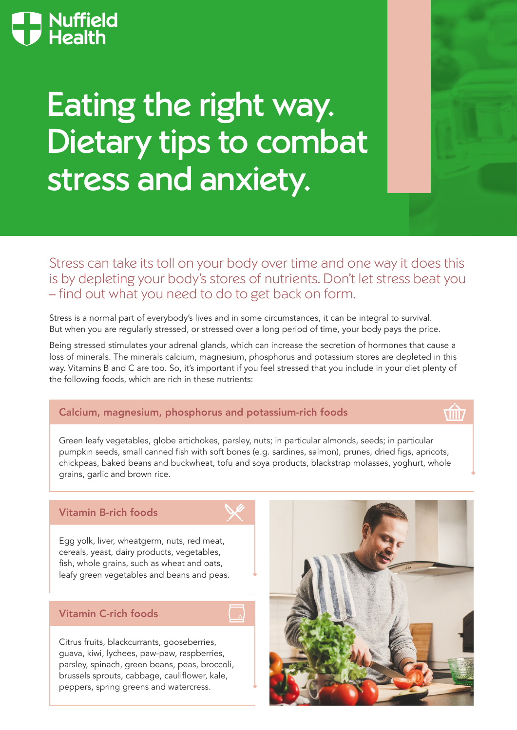# Nuffield<br>De Health

# Eating the right way. Dietary tips to combat stress and anxiety.

Stress can take its toll on your body over time and one way it does this is by depleting your body's stores of nutrients. Don't let stress beat you – find out what you need to do to get back on form.

Stress is a normal part of everybody's lives and in some circumstances, it can be integral to survival. But when you are regularly stressed, or stressed over a long period of time, your body pays the price.

Being stressed stimulates your adrenal glands, which can increase the secretion of hormones that cause a loss of minerals. The minerals calcium, magnesium, phosphorus and potassium stores are depleted in this way. Vitamins B and C are too. So, it's important if you feel stressed that you include in your diet plenty of the following foods, which are rich in these nutrients:

#### Calcium, magnesium, phosphorus and potassium-rich foods

**Tilli** 

Green leafy vegetables, globe artichokes, parsley, nuts; in particular almonds, seeds; in particular pumpkin seeds, small canned fish with soft bones (e.g. sardines, salmon), prunes, dried figs, apricots, chickpeas, baked beans and buckwheat, tofu and soya products, blackstrap molasses, yoghurt, whole grains, garlic and brown rice.

## Vitamin B-rich foods

Egg yolk, liver, wheatgerm, nuts, red meat, cereals, yeast, dairy products, vegetables, fish, whole grains, such as wheat and oats, leafy green vegetables and beans and peas.

# Vitamin C-rich foods

Citrus fruits, blackcurrants, gooseberries, guava, kiwi, lychees, paw-paw, raspberries, parsley, spinach, green beans, peas, broccoli, brussels sprouts, cabbage, cauliflower, kale, peppers, spring greens and watercress.